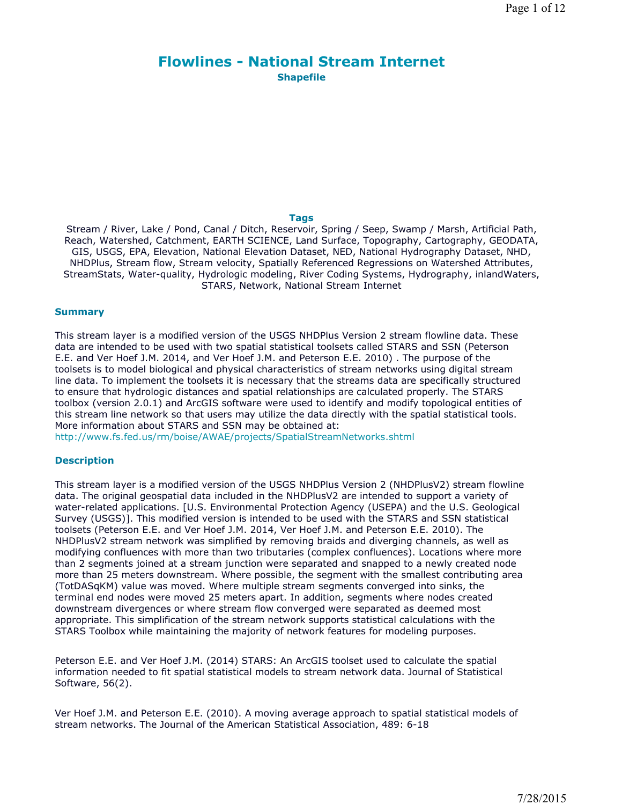# **Flowlines - National Stream Internet Shapefile**

### **Tags**

Stream / River, Lake / Pond, Canal / Ditch, Reservoir, Spring / Seep, Swamp / Marsh, Artificial Path, Reach, Watershed, Catchment, EARTH SCIENCE, Land Surface, Topography, Cartography, GEODATA, GIS, USGS, EPA, Elevation, National Elevation Dataset, NED, National Hydrography Dataset, NHD, NHDPlus, Stream flow, Stream velocity, Spatially Referenced Regressions on Watershed Attributes, StreamStats, Water-quality, Hydrologic modeling, River Coding Systems, Hydrography, inlandWaters, STARS, Network, National Stream Internet

### **Summary**

This stream layer is a modified version of the USGS NHDPlus Version 2 stream flowline data. These data are intended to be used with two spatial statistical toolsets called STARS and SSN (Peterson E.E. and Ver Hoef J.M. 2014, and Ver Hoef J.M. and Peterson E.E. 2010) . The purpose of the toolsets is to model biological and physical characteristics of stream networks using digital stream line data. To implement the toolsets it is necessary that the streams data are specifically structured to ensure that hydrologic distances and spatial relationships are calculated properly. The STARS toolbox (version 2.0.1) and ArcGIS software were used to identify and modify topological entities of this stream line network so that users may utilize the data directly with the spatial statistical tools. More information about STARS and SSN may be obtained at:

http://www.fs.fed.us/rm/boise/AWAE/projects/SpatialStreamNetworks.shtml

### **Description**

This stream layer is a modified version of the USGS NHDPlus Version 2 (NHDPlusV2) stream flowline data. The original geospatial data included in the NHDPlusV2 are intended to support a variety of water-related applications. [U.S. Environmental Protection Agency (USEPA) and the U.S. Geological Survey (USGS)]. This modified version is intended to be used with the STARS and SSN statistical toolsets (Peterson E.E. and Ver Hoef J.M. 2014, Ver Hoef J.M. and Peterson E.E. 2010). The NHDPlusV2 stream network was simplified by removing braids and diverging channels, as well as modifying confluences with more than two tributaries (complex confluences). Locations where more than 2 segments joined at a stream junction were separated and snapped to a newly created node more than 25 meters downstream. Where possible, the segment with the smallest contributing area (TotDASqKM) value was moved. Where multiple stream segments converged into sinks, the terminal end nodes were moved 25 meters apart. In addition, segments where nodes created downstream divergences or where stream flow converged were separated as deemed most appropriate. This simplification of the stream network supports statistical calculations with the STARS Toolbox while maintaining the majority of network features for modeling purposes.

Peterson E.E. and Ver Hoef J.M. (2014) STARS: An ArcGIS toolset used to calculate the spatial information needed to fit spatial statistical models to stream network data. Journal of Statistical Software, 56(2).

Ver Hoef J.M. and Peterson E.E. (2010). A moving average approach to spatial statistical models of stream networks. The Journal of the American Statistical Association, 489: 6-18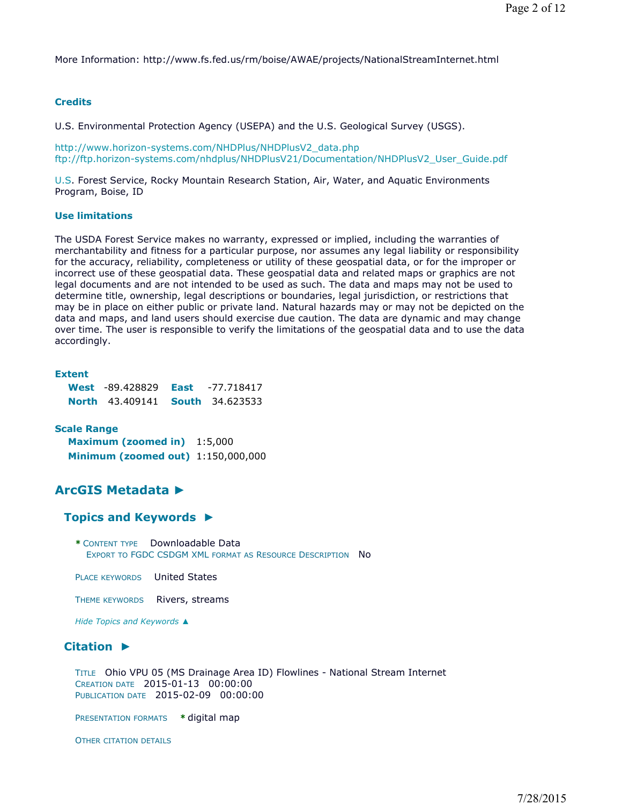More Information: http://www.fs.fed.us/rm/boise/AWAE/projects/NationalStreamInternet.html

### **Credits**

U.S. Environmental Protection Agency (USEPA) and the U.S. Geological Survey (USGS).

http://www.horizon-systems.com/NHDPlus/NHDPlusV2\_data.php ftp://ftp.horizon-systems.com/nhdplus/NHDPlusV21/Documentation/NHDPlusV2\_User\_Guide.pdf

U.S. Forest Service, Rocky Mountain Research Station, Air, Water, and Aquatic Environments Program, Boise, ID

### **Use limitations**

The USDA Forest Service makes no warranty, expressed or implied, including the warranties of merchantability and fitness for a particular purpose, nor assumes any legal liability or responsibility for the accuracy, reliability, completeness or utility of these geospatial data, or for the improper or incorrect use of these geospatial data. These geospatial data and related maps or graphics are not legal documents and are not intended to be used as such. The data and maps may not be used to determine title, ownership, legal descriptions or boundaries, legal jurisdiction, or restrictions that may be in place on either public or private land. Natural hazards may or may not be depicted on the data and maps, and land users should exercise due caution. The data are dynamic and may change over time. The user is responsible to verify the limitations of the geospatial data and to use the data accordingly.

**Extent**

| <b>West</b> -89.428829 <b>East</b>     | -77.718417 |
|----------------------------------------|------------|
| <b>North 43.409141 South 34.623533</b> |            |

**Scale Range Maximum (zoomed in)** 1:5,000 **Minimum (zoomed out)** 1:150,000,000

## **ArcGIS Metadata ►**

### **Topics and Keywords ►**

**\*** CONTENT TYPE Downloadable Data EXPORT TO FGDC CSDGM XML FORMAT AS RESOURCE DESCRIPTION No

PLACE KEYWORDS United States

THEME KEYWORDS Rivers, streams

*Hide Topics and Keywords ▲*

### **Citation ►**

TITLE Ohio VPU 05 (MS Drainage Area ID) Flowlines - National Stream Internet CREATION DATE 2015-01-13 00:00:00 PUBLICATION DATE 2015-02-09 00:00:00

PRESENTATION FORMATS **\*** digital map

OTHER CITATION DETAILS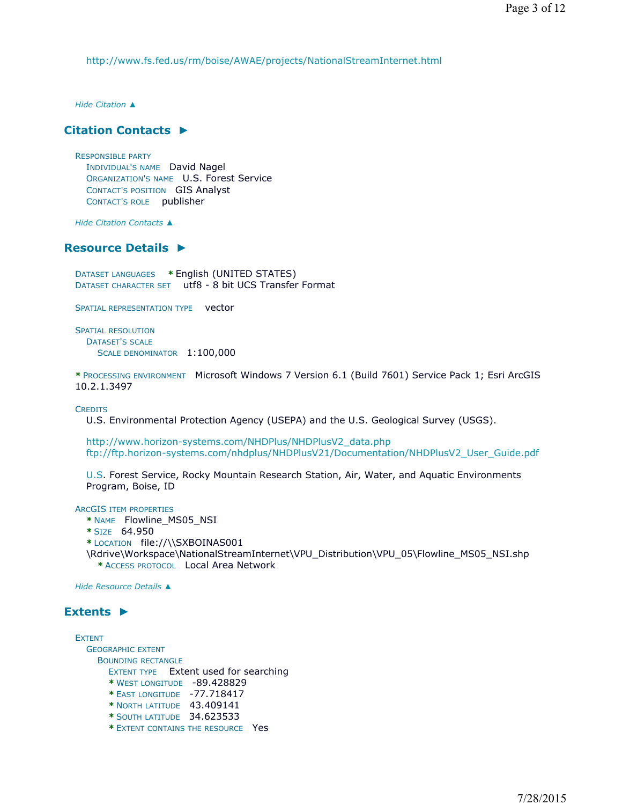http://www.fs.fed.us/rm/boise/AWAE/projects/NationalStreamInternet.html

*Hide Citation ▲*

## **Citation Contacts ►**

RESPONSIBLE PARTY INDIVIDUAL'S NAME David Nagel ORGANIZATION'S NAME U.S. Forest Service CONTACT'S POSITION GIS Analyst CONTACT'S ROLE publisher

*Hide Citation Contacts ▲*

## **Resource Details ►**

DATASET LANGUAGES **\*** English (UNITED STATES) DATASET CHARACTER SET utf8 - 8 bit UCS Transfer Format

SPATIAL REPRESENTATION TYPE vector

SPATIAL RESOLUTION DATASET'S SCALE SCALE DENOMINATOR 1:100,000

**\*** PROCESSING ENVIRONMENT Microsoft Windows 7 Version 6.1 (Build 7601) Service Pack 1; Esri ArcGIS 10.2.1.3497

**CREDITS** 

U.S. Environmental Protection Agency (USEPA) and the U.S. Geological Survey (USGS).

http://www.horizon-systems.com/NHDPlus/NHDPlusV2\_data.php ftp://ftp.horizon-systems.com/nhdplus/NHDPlusV21/Documentation/NHDPlusV2\_User\_Guide.pdf

U.S. Forest Service, Rocky Mountain Research Station, Air, Water, and Aquatic Environments Program, Boise, ID

ARCGIS ITEM PROPERTIES

**\*** NAME Flowline\_MS05\_NSI

- **\*** SIZE 64.950
- **\*** LOCATION file://\\SXBOINAS001
- \Rdrive\Workspace\NationalStreamInternet\VPU\_Distribution\VPU\_05\Flowline\_MS05\_NSI.shp **\*** ACCESS PROTOCOL Local Area Network

*Hide Resource Details ▲*

## **Extents ►**

**EXTENT** GEOGRAPHIC EXTENT BOUNDING RECTANGLE EXTENT TYPE Extent used for searching **\*** WEST LONGITUDE -89.428829 **\*** EAST LONGITUDE -77.718417 **\*** NORTH LATITUDE 43.409141 **\*** SOUTH LATITUDE 34.623533

**\*** EXTENT CONTAINS THE RESOURCE Yes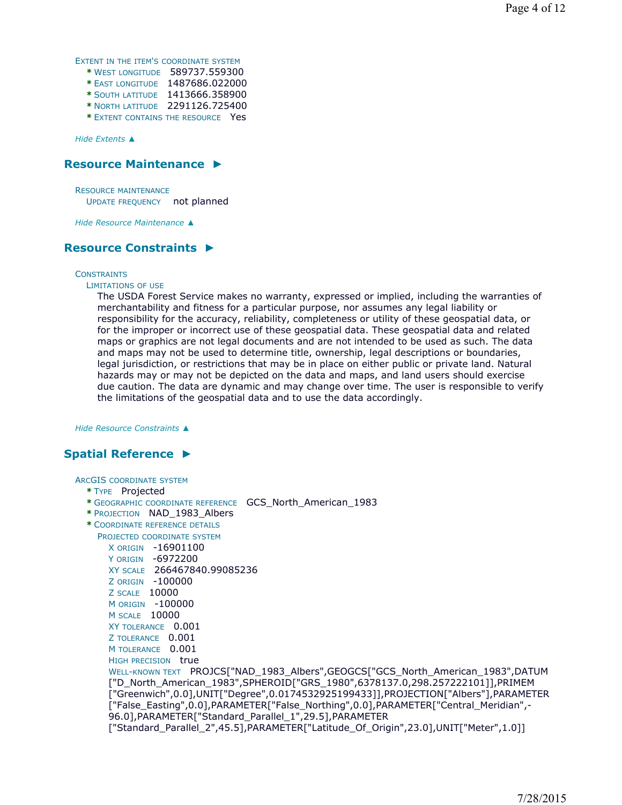EXTENT IN THE ITEM'S COORDINATE SYSTEM

- **\*** WEST LONGITUDE 589737.559300
- **\*** EAST LONGITUDE 1487686.022000 **\*** SOUTH LATITUDE 1413666.358900
- **\*** NORTH LATITUDE 2291126.725400
- **\*** EXTENT CONTAINS THE RESOURCE Yes

*Hide Extents ▲*

## **Resource Maintenance ►**

RESOURCE MAINTENANCE UPDATE FREQUENCY not planned

*Hide Resource Maintenance ▲*

## **Resource Constraints ►**

#### **CONSTRAINTS**

### LIMITATIONS OF USE

The USDA Forest Service makes no warranty, expressed or implied, including the warranties of merchantability and fitness for a particular purpose, nor assumes any legal liability or responsibility for the accuracy, reliability, completeness or utility of these geospatial data, or for the improper or incorrect use of these geospatial data. These geospatial data and related maps or graphics are not legal documents and are not intended to be used as such. The data and maps may not be used to determine title, ownership, legal descriptions or boundaries, legal jurisdiction, or restrictions that may be in place on either public or private land. Natural hazards may or may not be depicted on the data and maps, and land users should exercise due caution. The data are dynamic and may change over time. The user is responsible to verify the limitations of the geospatial data and to use the data accordingly.

*Hide Resource Constraints ▲*

## **Spatial Reference ►**

ARCGIS COORDINATE SYSTEM

#### **\*** TYPE Projected

- **\*** GEOGRAPHIC COORDINATE REFERENCE GCS\_North\_American\_1983
- **\*** PROJECTION NAD\_1983\_Albers
- **\*** COORDINATE REFERENCE DETAILS
- PROJECTED COORDINATE SYSTEM X ORIGIN -16901100
	- Y ORIGIN -6972200 XY SCALE 266467840.99085236 Z ORIGIN -100000
	- Z SCALE 10000 M ORIGIN -100000
	- M SCALE 10000
	- XY TOLERANCE 0.001
	- Z TOLERANCE 0.001
	- M TOLERANCE 0.001
	- HIGH PRECISION true

WELL-KNOWN TEXT PROJCS["NAD\_1983\_Albers",GEOGCS["GCS\_North\_American\_1983",DATUM ["D\_North\_American\_1983",SPHEROID["GRS\_1980",6378137.0,298.257222101]],PRIMEM ["Greenwich",0.0],UNIT["Degree",0.0174532925199433]],PROJECTION["Albers"],PARAMETER ["False\_Easting",0.0],PARAMETER["False\_Northing",0.0],PARAMETER["Central\_Meridian",- 96.0],PARAMETER["Standard\_Parallel\_1",29.5],PARAMETER ["Standard\_Parallel\_2",45.5],PARAMETER["Latitude\_Of\_Origin",23.0],UNIT["Meter",1.0]]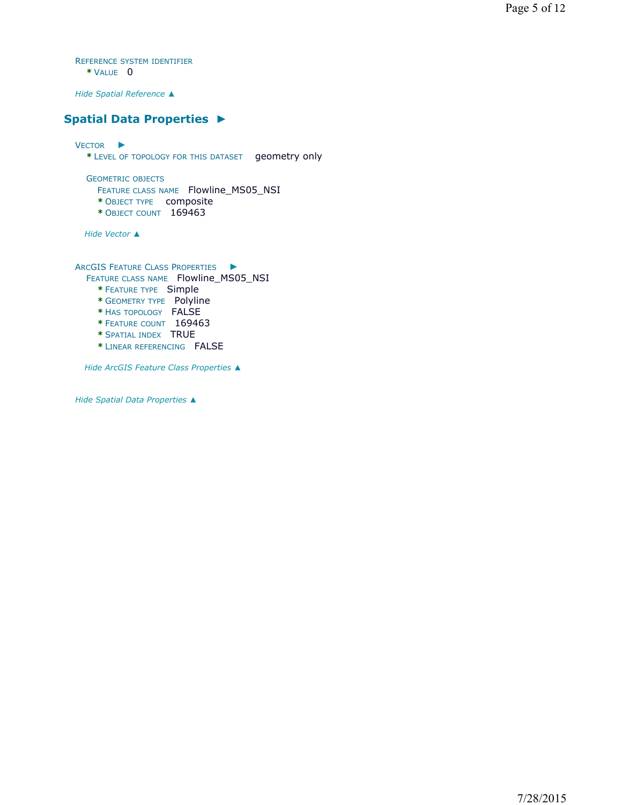REFERENCE SYSTEM IDENTIFIER **\*** VALUE 0

*Hide Spatial Reference ▲*

## **Spatial Data Properties ►**

VECTOR ► **\*** LEVEL OF TOPOLOGY FOR THIS DATASET geometry only GEOMETRIC OBJECTS FEATURE CLASS NAME Flowline\_MS05\_NSI **\*** OBJECT TYPE composite **\*** OBJECT COUNT 169463 *Hide Vector ▲*

ARCGIS FEATURE CLASS PROPERTIES ►

FEATURE CLASS NAME Flowline\_MS05\_NSI

- **\*** FEATURE TYPE Simple
- **\*** GEOMETRY TYPE Polyline
- **\*** HAS TOPOLOGY FALSE
- **\*** FEATURE COUNT 169463
- **\*** SPATIAL INDEX TRUE
- **\*** LINEAR REFERENCING FALSE

*Hide ArcGIS Feature Class Properties ▲*

*Hide Spatial Data Properties ▲*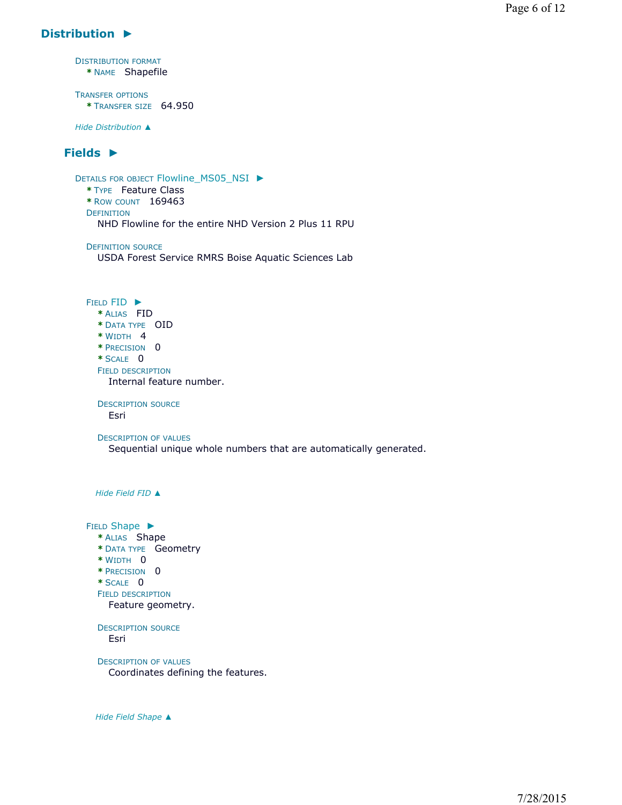## **Distribution ►**

DISTRIBUTION FORMAT **\*** NAME Shapefile TRANSFER OPTIONS **\*** TRANSFER SIZE 64.950 *Hide Distribution ▲* **Fields ►** DETAILS FOR OBJECT Flowline\_MS05\_NSI ► **\*** TYPE Feature Class **\*** ROW COUNT 169463 DEFINITION DEFINITION SOURCE FIELD FID ► **\*** ALIAS FID **\*** DATA TYPE OID **\*** WIDTH 4 **\*** PRECISION 0 **\*** SCALE 0 FIELD DESCRIPTION DESCRIPTION SOURCE DESCRIPTION OF VALUES *Hide Field FID ▲* FIELD Shape ▶ **\*** ALIAS Shape **\*** DATA TYPE Geometry **\*** WIDTH 0 **\*** PRECISION 0 **\*** SCALE 0 FIELD DESCRIPTION DESCRIPTION SOURCE DESCRIPTION OF VALUES NHD Flowline for the entire NHD Version 2 Plus 11 RPU USDA Forest Service RMRS Boise Aquatic Sciences Lab Internal feature number. Esri Sequential unique whole numbers that are automatically generated. Feature geometry. Esri Coordinates defining the features.

*Hide Field Shape ▲*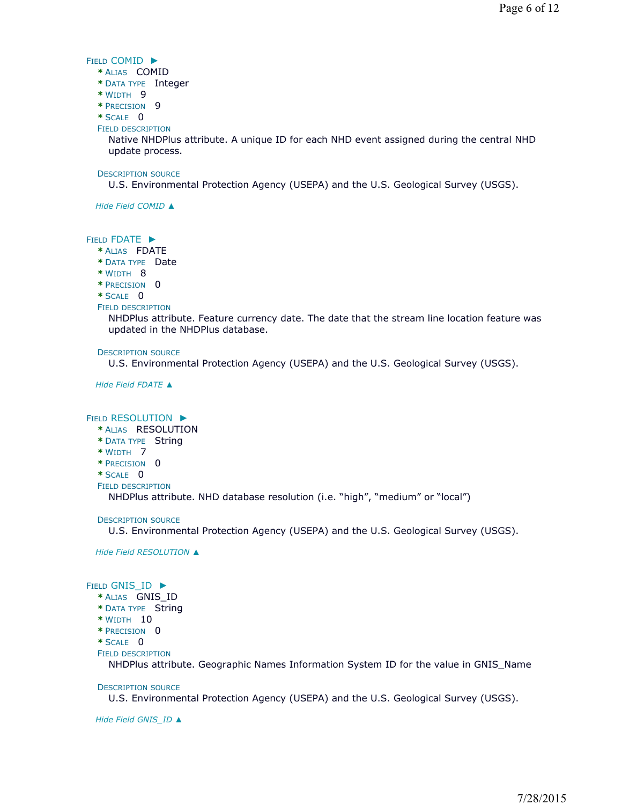### FIELD COMID ►

- **\*** ALIAS COMID
- **\*** DATA TYPE Integer
- **\*** WIDTH 9
- **\*** PRECISION 9
- **\*** SCALE 0
- FIELD DESCRIPTION

Native NHDPlus attribute. A unique ID for each NHD event assigned during the central NHD update process.

#### DESCRIPTION SOURCE

U.S. Environmental Protection Agency (USEPA) and the U.S. Geological Survey (USGS).

*Hide Field COMID ▲*

### FIELD FDATE ►

- **\*** ALIAS FDATE
- **\*** DATA TYPE Date
- **\*** WIDTH 8
- **\*** PRECISION 0
- **\*** SCALE 0
- FIELD DESCRIPTION

NHDPlus attribute. Feature currency date. The date that the stream line location feature was updated in the NHDPlus database.

#### DESCRIPTION SOURCE

U.S. Environmental Protection Agency (USEPA) and the U.S. Geological Survey (USGS).

*Hide Field FDATE ▲*

### FIELD RESOLUTION ►

- **\*** ALIAS RESOLUTION
- **\*** DATA TYPE String
- **\*** WIDTH 7
- **\*** PRECISION 0
- **\*** SCALE 0
- FIELD DESCRIPTION

NHDPlus attribute. NHD database resolution (i.e. "high", "medium" or "local")

DESCRIPTION SOURCE

U.S. Environmental Protection Agency (USEPA) and the U.S. Geological Survey (USGS).

*Hide Field RESOLUTION ▲*

### FIELD GNIS\_ID ▶

- **\*** ALIAS GNIS\_ID
- **\*** DATA TYPE String
- **\*** WIDTH 10
- **\*** PRECISION 0
- **\*** SCALE 0
- FIELD DESCRIPTION

NHDPlus attribute. Geographic Names Information System ID for the value in GNIS\_Name

DESCRIPTION SOURCE

U.S. Environmental Protection Agency (USEPA) and the U.S. Geological Survey (USGS).

*Hide Field GNIS\_ID ▲*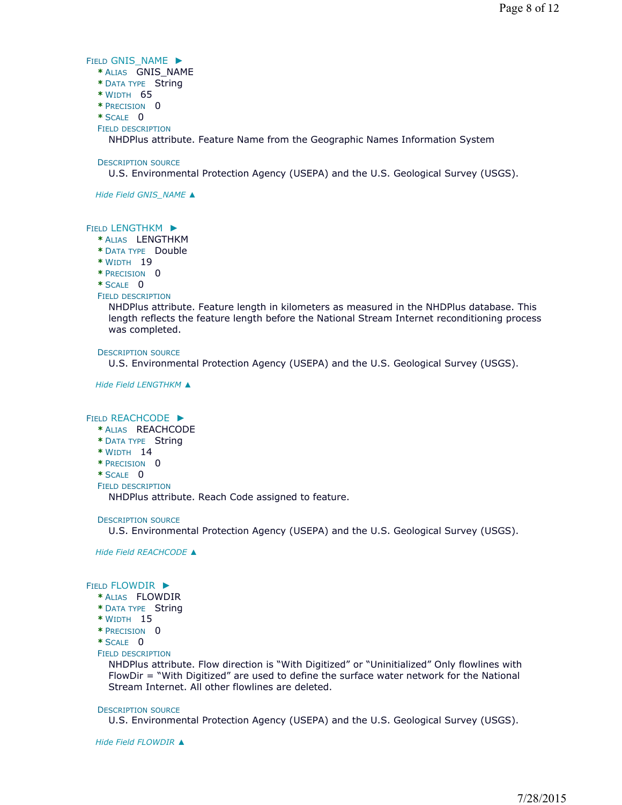#### FIELD GNIS\_NAME ▶

- **\*** ALIAS GNIS\_NAME
- **\*** DATA TYPE String
- **\*** WIDTH 65
- **\*** PRECISION 0
- **\*** SCALE 0
- FIELD DESCRIPTION

NHDPlus attribute. Feature Name from the Geographic Names Information System

### DESCRIPTION SOURCE

U.S. Environmental Protection Agency (USEPA) and the U.S. Geological Survey (USGS).

*Hide Field GNIS\_NAME ▲*

### FIELD LENGTHKM ▶

- **\*** ALIAS LENGTHKM
- **\*** DATA TYPE Double
- **\*** WIDTH 19
- **\*** PRECISION 0

**\*** SCALE 0

FIELD DESCRIPTION

NHDPlus attribute. Feature length in kilometers as measured in the NHDPlus database. This length reflects the feature length before the National Stream Internet reconditioning process was completed.

DESCRIPTION SOURCE

U.S. Environmental Protection Agency (USEPA) and the U.S. Geological Survey (USGS).

*Hide Field LENGTHKM ▲*

### FIELD REACHCODE ►

- **\*** ALIAS REACHCODE
- **\*** DATA TYPE String
- **\*** WIDTH 14
- **\*** PRECISION 0
- **\*** SCALE 0
- FIELD DESCRIPTION

NHDPlus attribute. Reach Code assigned to feature.

### DESCRIPTION SOURCE

U.S. Environmental Protection Agency (USEPA) and the U.S. Geological Survey (USGS).

*Hide Field REACHCODE ▲*

### FIELD FLOWDIR ►

- **\*** ALIAS FLOWDIR
- **\*** DATA TYPE String
- **\*** WIDTH 15
- **\*** PRECISION 0
- **\*** SCALE 0

### FIELD DESCRIPTION

NHDPlus attribute. Flow direction is "With Digitized" or "Uninitialized" Only flowlines with FlowDir = "With Digitized" are used to define the surface water network for the National Stream Internet. All other flowlines are deleted.

### DESCRIPTION SOURCE

U.S. Environmental Protection Agency (USEPA) and the U.S. Geological Survey (USGS).

*Hide Field FLOWDIR ▲*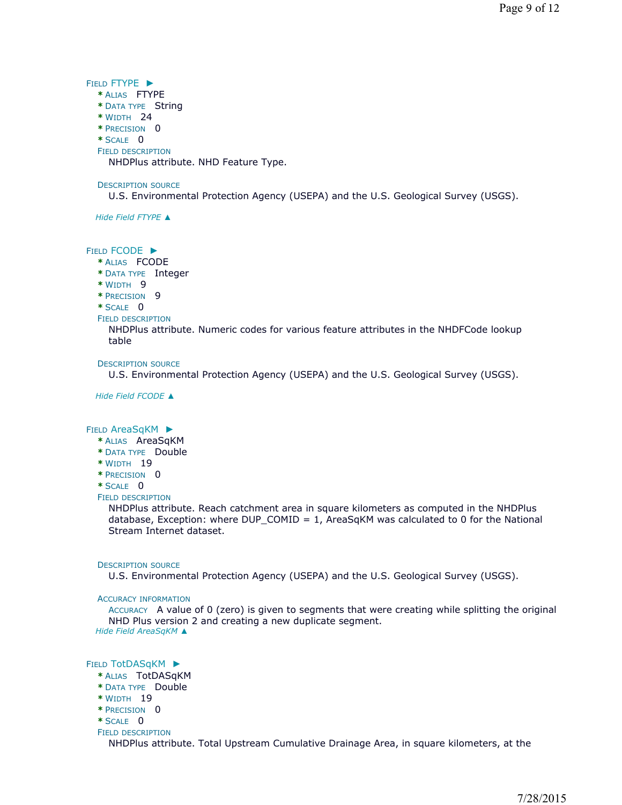FIELD FTYPE ►

- **\*** ALIAS FTYPE
- **\*** DATA TYPE String
- **\*** WIDTH 24
- **\*** PRECISION 0
- **\*** SCALE 0
- FIELD DESCRIPTION

NHDPlus attribute. NHD Feature Type.

#### DESCRIPTION SOURCE

U.S. Environmental Protection Agency (USEPA) and the U.S. Geological Survey (USGS).

*Hide Field FTYPE ▲*

#### FIELD FCODE ►

- **\*** ALIAS FCODE
- **\*** DATA TYPE Integer
- **\*** WIDTH 9
- **\*** PRECISION 9
- **\*** SCALE 0
- FIELD DESCRIPTION

NHDPlus attribute. Numeric codes for various feature attributes in the NHDFCode lookup table

#### DESCRIPTION SOURCE

U.S. Environmental Protection Agency (USEPA) and the U.S. Geological Survey (USGS).

*Hide Field FCODE ▲*

#### FIELD AreaSqKM ▶

- **\*** ALIAS AreaSqKM
- **\*** DATA TYPE Double
- **\*** WIDTH 19
- **\*** PRECISION 0
- **\*** SCALE 0

## FIELD DESCRIPTION

NHDPlus attribute. Reach catchment area in square kilometers as computed in the NHDPlus database, Exception: where DUP\_COMID =  $1$ , AreaSqKM was calculated to 0 for the National Stream Internet dataset.

#### DESCRIPTION SOURCE

U.S. Environmental Protection Agency (USEPA) and the U.S. Geological Survey (USGS).

#### ACCURACY INFORMATION

ACCURACY A value of 0 (zero) is given to segments that were creating while splitting the original NHD Plus version 2 and creating a new duplicate segment. *Hide Field AreaSqKM ▲*

## FIELD TotDASqKM ▶

- **\*** ALIAS TotDASqKM
- **\*** DATA TYPE Double
- **\*** WIDTH 19
- **\*** PRECISION 0
- **\*** SCALE 0
- FIELD DESCRIPTION

NHDPlus attribute. Total Upstream Cumulative Drainage Area, in square kilometers, at the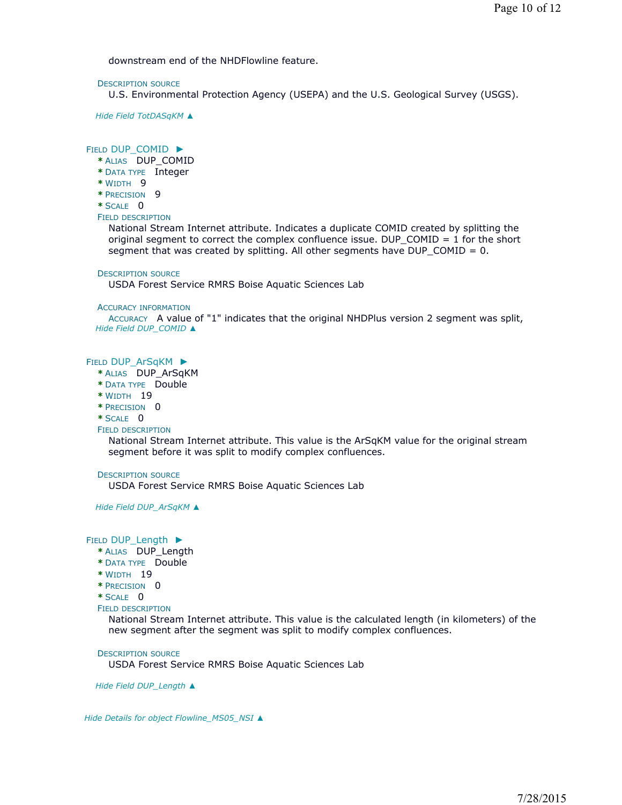downstream end of the NHDFlowline feature.

#### DESCRIPTION SOURCE

U.S. Environmental Protection Agency (USEPA) and the U.S. Geological Survey (USGS).

*Hide Field TotDASqKM ▲*

### FIELD DUP\_COMID ▶

- **\*** ALIAS DUP\_COMID
- **\*** DATA TYPE Integer
- **\*** WIDTH 9
- **\*** PRECISION 9
- **\*** SCALE 0

#### FIELD DESCRIPTION

National Stream Internet attribute. Indicates a duplicate COMID created by splitting the original segment to correct the complex confluence issue. DUP\_COMID = 1 for the short segment that was created by splitting. All other segments have DUP\_COMID = 0.

#### DESCRIPTION SOURCE

USDA Forest Service RMRS Boise Aquatic Sciences Lab

#### ACCURACY INFORMATION

ACCURACY A value of "1" indicates that the original NHDPlus version 2 segment was split, *Hide Field DUP\_COMID ▲*

#### FIELD DUP\_ArSqKM ▶

- **\*** ALIAS DUP\_ArSqKM
- **\*** DATA TYPE Double
- **\*** WIDTH 19
- **\*** PRECISION 0

#### **\*** SCALE 0

FIELD DESCRIPTION

National Stream Internet attribute. This value is the ArSqKM value for the original stream segment before it was split to modify complex confluences.

#### DESCRIPTION SOURCE

USDA Forest Service RMRS Boise Aquatic Sciences Lab

*Hide Field DUP\_ArSqKM ▲*

#### FIELD DUP\_Length ▶

- **\*** ALIAS DUP\_Length
- **\*** DATA TYPE Double
- **\*** WIDTH 19
- **\*** PRECISION 0
- **\*** SCALE 0
- FIELD DESCRIPTION

National Stream Internet attribute. This value is the calculated length (in kilometers) of the new segment after the segment was split to modify complex confluences.

#### DESCRIPTION SOURCE

USDA Forest Service RMRS Boise Aquatic Sciences Lab

*Hide Field DUP\_Length ▲*

*Hide Details for object Flowline\_MS05\_NSI ▲*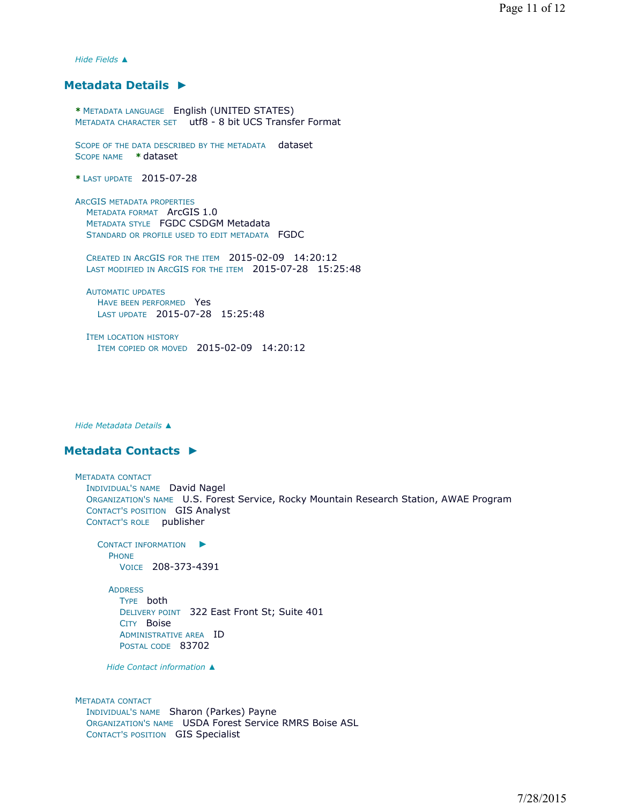*Hide Fields ▲*

### **Metadata Details ►**

**\*** METADATA LANGUAGE English (UNITED STATES) METADATA CHARACTER SET utf8 - 8 bit UCS Transfer Format

SCOPE OF THE DATA DESCRIBED BY THE METADATA dataset SCOPE NAME **\*** dataset

**\*** LAST UPDATE 2015-07-28

ARCGIS METADATA PROPERTIES METADATA FORMAT ArcGIS 1.0 METADATA STYLE FGDC CSDGM Metadata STANDARD OR PROFILE USED TO EDIT METADATA FGDC

CREATED IN ARCGIS FOR THE ITEM 2015-02-09 14:20:12 LAST MODIFIED IN ARCGIS FOR THE ITEM 2015-07-28 15:25:48

AUTOMATIC UPDATES HAVE BEEN PERFORMED Yes LAST UPDATE 2015-07-28 15:25:48

ITEM LOCATION HISTORY ITEM COPIED OR MOVED 2015-02-09 14:20:12

*Hide Metadata Details ▲*

## **Metadata Contacts ►**

METADATA CONTACT INDIVIDUAL'S NAME David Nagel ORGANIZATION'S NAME U.S. Forest Service, Rocky Mountain Research Station, AWAE Program CONTACT'S POSITION GIS Analyst CONTACT'S ROLE publisher CONTACT INFORMATION ► PHONE VOICE 208-373-4391 ADDRESS TYPE both

DELIVERY POINT 322 East Front St; Suite 401 CITY Boise ADMINISTRATIVE AREA ID POSTAL CODE 83702

*Hide Contact information ▲*

METADATA CONTACT INDIVIDUAL'S NAME Sharon (Parkes) Payne ORGANIZATION'S NAME USDA Forest Service RMRS Boise ASL CONTACT'S POSITION GIS Specialist